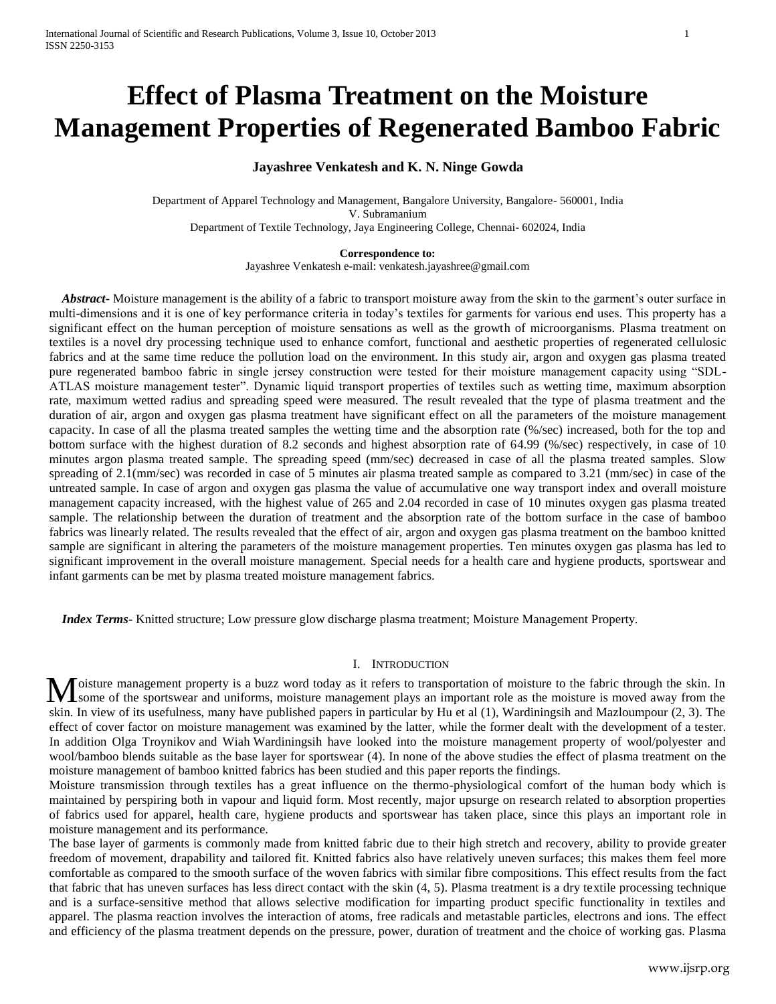# **Effect of Plasma Treatment on the Moisture Management Properties of Regenerated Bamboo Fabric**

# **Jayashree Venkatesh and K. N. Ninge Gowda**

Department of Apparel Technology and Management, Bangalore University, Bangalore- 560001, India V. Subramanium Department of Textile Technology, Jaya Engineering College, Chennai- 602024, India

**Correspondence to:**

Jayashree Venkatesh e-mail: venkatesh.jayashree@gmail.com

 *Abstract***-** Moisture management is the ability of a fabric to transport moisture away from the skin to the garment's outer surface in multi-dimensions and it is one of key performance criteria in today's textiles for garments for various end uses. This property has a significant effect on the human perception of moisture sensations as well as the growth of microorganisms. Plasma treatment on textiles is a novel dry processing technique used to enhance comfort, functional and aesthetic properties of regenerated cellulosic fabrics and at the same time reduce the pollution load on the environment. In this study air, argon and oxygen gas plasma treated pure regenerated bamboo fabric in single jersey construction were tested for their moisture management capacity using "SDL-ATLAS moisture management tester". Dynamic liquid transport properties of textiles such as wetting time, maximum absorption rate, maximum wetted radius and spreading speed were measured. The result revealed that the type of plasma treatment and the duration of air, argon and oxygen gas plasma treatment have significant effect on all the parameters of the moisture management capacity. In case of all the plasma treated samples the wetting time and the absorption rate (%/sec) increased, both for the top and bottom surface with the highest duration of 8.2 seconds and highest absorption rate of 64.99 (%/sec) respectively, in case of 10 minutes argon plasma treated sample. The spreading speed (mm/sec) decreased in case of all the plasma treated samples. Slow spreading of 2.1(mm/sec) was recorded in case of 5 minutes air plasma treated sample as compared to 3.21 (mm/sec) in case of the untreated sample. In case of argon and oxygen gas plasma the value of accumulative one way transport index and overall moisture management capacity increased, with the highest value of 265 and 2.04 recorded in case of 10 minutes oxygen gas plasma treated sample. The relationship between the duration of treatment and the absorption rate of the bottom surface in the case of bamboo fabrics was linearly related. The results revealed that the effect of air, argon and oxygen gas plasma treatment on the bamboo knitted sample are significant in altering the parameters of the moisture management properties. Ten minutes oxygen gas plasma has led to significant improvement in the overall moisture management. Special needs for a health care and hygiene products, sportswear and infant garments can be met by plasma treated moisture management fabrics.

 *Index Terms***-** Knitted structure; Low pressure glow discharge plasma treatment; Moisture Management Property.

# I. INTRODUCTION

oisture management property is a buzz word today as it refers to transportation of moisture to the fabric through the skin. In Moisture management property is a buzz word today as it refers to transportation of moisture to the fabric through the skin. In some of the sportswear and uniforms, moisture management plays an important role as the moistu skin. In view of its usefulness, many have published papers in particular by Hu et al (1), Wardiningsih and Mazloumpour (2, 3). The effect of cover factor on moisture management was examined by the latter, while the former dealt with the development of a tester. In addition Olga Troynikov and Wiah Wardiningsih have looked into the moisture management property of wool/polyester and wool/bamboo blends suitable as the base layer for sportswear (4). In none of the above studies the effect of plasma treatment on the moisture management of bamboo knitted fabrics has been studied and this paper reports the findings.

Moisture transmission through textiles has a great influence on the thermo-physiological comfort of the human body which is maintained by perspiring both in vapour and liquid form. Most recently, major upsurge on research related to absorption properties of fabrics used for apparel, health care, hygiene products and sportswear has taken place, since this plays an important role in moisture management and its performance.

The base layer of garments is commonly made from knitted fabric due to their high stretch and recovery, ability to provide greater freedom of movement, drapability and tailored fit. Knitted fabrics also have relatively uneven surfaces; this makes them feel more comfortable as compared to the smooth surface of the woven fabrics with similar fibre compositions. This effect results from the fact that fabric that has uneven surfaces has less direct contact with the skin (4, 5). Plasma treatment is a dry textile processing technique and is a surface-sensitive method that allows selective modification for imparting product specific functionality in textiles and apparel. The plasma reaction involves the interaction of atoms, free radicals and metastable particles, electrons and ions. The effect and efficiency of the plasma treatment depends on the pressure, power, duration of treatment and the choice of working gas. Plasma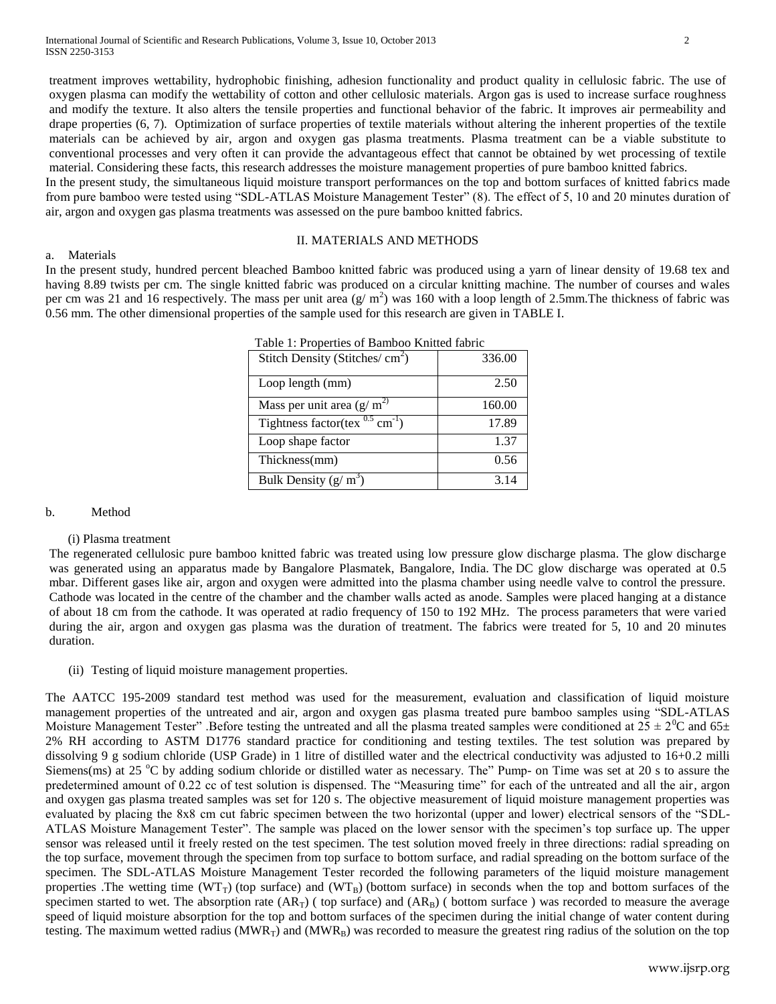treatment improves wettability, hydrophobic finishing, adhesion functionality and product quality in cellulosic fabric. The use of oxygen plasma can modify the wettability of cotton and other cellulosic materials. Argon gas is used to increase surface roughness and modify the texture. It also alters the tensile properties and functional behavior of the fabric. It improves air permeability and drape properties (6, 7). Optimization of surface properties of textile materials without altering the inherent properties of the textile materials can be achieved by air, argon and oxygen gas plasma treatments. Plasma treatment can be a viable substitute to conventional processes and very often it can provide the advantageous effect that cannot be obtained by wet processing of textile material. Considering these facts, this research addresses the moisture management properties of pure bamboo knitted fabrics.

In the present study, the simultaneous liquid moisture transport performances on the top and bottom surfaces of knitted fabrics made from pure bamboo were tested using "SDL-ATLAS Moisture Management Tester" (8). The effect of 5, 10 and 20 minutes duration of air, argon and oxygen gas plasma treatments was assessed on the pure bamboo knitted fabrics.

## II. MATERIALS AND METHODS

# a. Materials

In the present study, hundred percent bleached Bamboo knitted fabric was produced using a yarn of linear density of 19.68 tex and having 8.89 twists per cm. The single knitted fabric was produced on a circular knitting machine. The number of courses and wales per cm was 21 and 16 respectively. The mass per unit area  $(g/m^2)$  was 160 with a loop length of 2.5mm. The thickness of fabric was 0.56 mm. The other dimensional properties of the sample used for this research are given in TABLE I.

|                                                  | Table 1: Properties of Bamboo Knitted fabric |  |  |
|--------------------------------------------------|----------------------------------------------|--|--|
| Stitch Density (Stitches/ $\text{cm}^2$ )        | 336.00                                       |  |  |
| Loop length (mm)                                 | 2.50                                         |  |  |
| Mass per unit area $(g/m^2)$                     | 160.00                                       |  |  |
| Tightness factor(tex $^{0.5}$ cm <sup>-1</sup> ) | 17.89                                        |  |  |
| Loop shape factor                                | 1.37                                         |  |  |
| Thickness(mm)                                    | 0.56                                         |  |  |
| Bulk Density $(g/m^3)$                           | 3.14                                         |  |  |

### b. Method

# (i) Plasma treatment

The regenerated cellulosic pure bamboo knitted fabric was treated using low pressure glow discharge plasma. The glow discharge was generated using an apparatus made by Bangalore Plasmatek, Bangalore, India. The DC glow discharge was operated at 0.5 mbar. Different gases like air, argon and oxygen were admitted into the plasma chamber using needle valve to control the pressure. Cathode was located in the centre of the chamber and the chamber walls acted as anode. Samples were placed hanging at a distance of about 18 cm from the cathode. It was operated at radio frequency of 150 to 192 MHz. The process parameters that were varied during the air, argon and oxygen gas plasma was the duration of treatment. The fabrics were treated for 5, 10 and 20 minutes duration.

### (ii) Testing of liquid moisture management properties.

The AATCC 195-2009 standard test method was used for the measurement, evaluation and classification of liquid moisture management properties of the untreated and air, argon and oxygen gas plasma treated pure bamboo samples using "SDL-ATLAS Moisture Management Tester" .Before testing the untreated and all the plasma treated samples were conditioned at  $25 \pm 2^0C$  and  $65\pm$ 2% RH according to ASTM D1776 standard practice for conditioning and testing textiles. The test solution was prepared by dissolving 9 g sodium chloride (USP Grade) in 1 litre of distilled water and the electrical conductivity was adjusted to 16+0.2 milli Siemens(ms) at 25 °C by adding sodium chloride or distilled water as necessary. The" Pump- on Time was set at 20 s to assure the predetermined amount of 0.22 cc of test solution is dispensed. The "Measuring time" for each of the untreated and all the air, argon and oxygen gas plasma treated samples was set for 120 s. The objective measurement of liquid moisture management properties was evaluated by placing the 8x8 cm cut fabric specimen between the two horizontal (upper and lower) electrical sensors of the "SDL-ATLAS Moisture Management Tester". The sample was placed on the lower sensor with the specimen's top surface up. The upper sensor was released until it freely rested on the test specimen. The test solution moved freely in three directions: radial spreading on the top surface, movement through the specimen from top surface to bottom surface, and radial spreading on the bottom surface of the specimen. The SDL-ATLAS Moisture Management Tester recorded the following parameters of the liquid moisture management properties .The wetting time ( $WT_T$ ) (top surface) and ( $WT_B$ ) (bottom surface) in seconds when the top and bottom surfaces of the specimen started to wet. The absorption rate  $(AR_T)$  ( top surface) and  $(AR_B)$  ( bottom surface ) was recorded to measure the average speed of liquid moisture absorption for the top and bottom surfaces of the specimen during the initial change of water content during testing. The maximum wetted radius ( $MWR_T$ ) and ( $MWR_B$ ) was recorded to measure the greatest ring radius of the solution on the top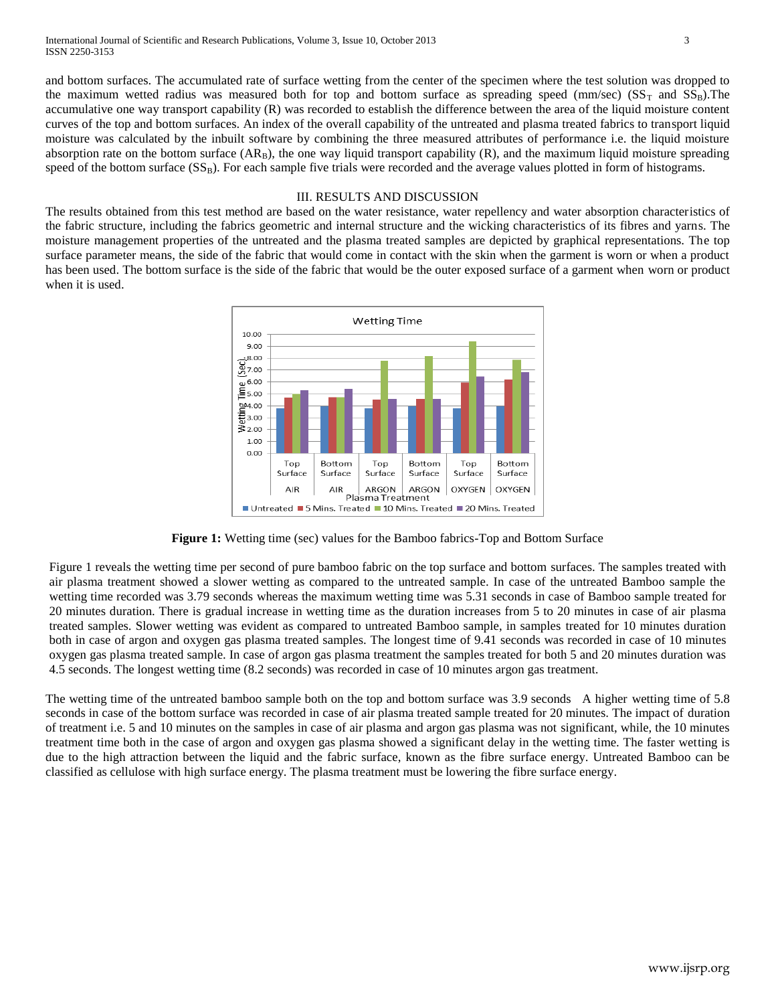and bottom surfaces. The accumulated rate of surface wetting from the center of the specimen where the test solution was dropped to the maximum wetted radius was measured both for top and bottom surface as spreading speed (mm/sec) ( $SS_T$  and  $SS_B$ ). The accumulative one way transport capability (R) was recorded to establish the difference between the area of the liquid moisture content curves of the top and bottom surfaces. An index of the overall capability of the untreated and plasma treated fabrics to transport liquid moisture was calculated by the inbuilt software by combining the three measured attributes of performance i.e. the liquid moisture absorption rate on the bottom surface  $(AR_B)$ , the one way liquid transport capability  $(R)$ , and the maximum liquid moisture spreading speed of the bottom surface  $(SS_B)$ . For each sample five trials were recorded and the average values plotted in form of histograms.

# III. RESULTS AND DISCUSSION

The results obtained from this test method are based on the water resistance, water repellency and water absorption characteristics of the fabric structure, including the fabrics geometric and internal structure and the wicking characteristics of its fibres and yarns. The moisture management properties of the untreated and the plasma treated samples are depicted by graphical representations. The top surface parameter means, the side of the fabric that would come in contact with the skin when the garment is worn or when a product has been used. The bottom surface is the side of the fabric that would be the outer exposed surface of a garment when worn or product when it is used.



**Figure 1:** Wetting time (sec) values for the Bamboo fabrics-Top and Bottom Surface

Figure 1 reveals the wetting time per second of pure bamboo fabric on the top surface and bottom surfaces. The samples treated with air plasma treatment showed a slower wetting as compared to the untreated sample. In case of the untreated Bamboo sample the wetting time recorded was 3.79 seconds whereas the maximum wetting time was 5.31 seconds in case of Bamboo sample treated for 20 minutes duration. There is gradual increase in wetting time as the duration increases from 5 to 20 minutes in case of air plasma treated samples. Slower wetting was evident as compared to untreated Bamboo sample, in samples treated for 10 minutes duration both in case of argon and oxygen gas plasma treated samples. The longest time of 9.41 seconds was recorded in case of 10 minutes oxygen gas plasma treated sample. In case of argon gas plasma treatment the samples treated for both 5 and 20 minutes duration was 4.5 seconds. The longest wetting time (8.2 seconds) was recorded in case of 10 minutes argon gas treatment.

The wetting time of the untreated bamboo sample both on the top and bottom surface was 3.9 seconds A higher wetting time of 5.8 seconds in case of the bottom surface was recorded in case of air plasma treated sample treated for 20 minutes. The impact of duration of treatment i.e. 5 and 10 minutes on the samples in case of air plasma and argon gas plasma was not significant, while, the 10 minutes treatment time both in the case of argon and oxygen gas plasma showed a significant delay in the wetting time. The faster wetting is due to the high attraction between the liquid and the fabric surface, known as the fibre surface energy. Untreated Bamboo can be classified as cellulose with high surface energy. The plasma treatment must be lowering the fibre surface energy.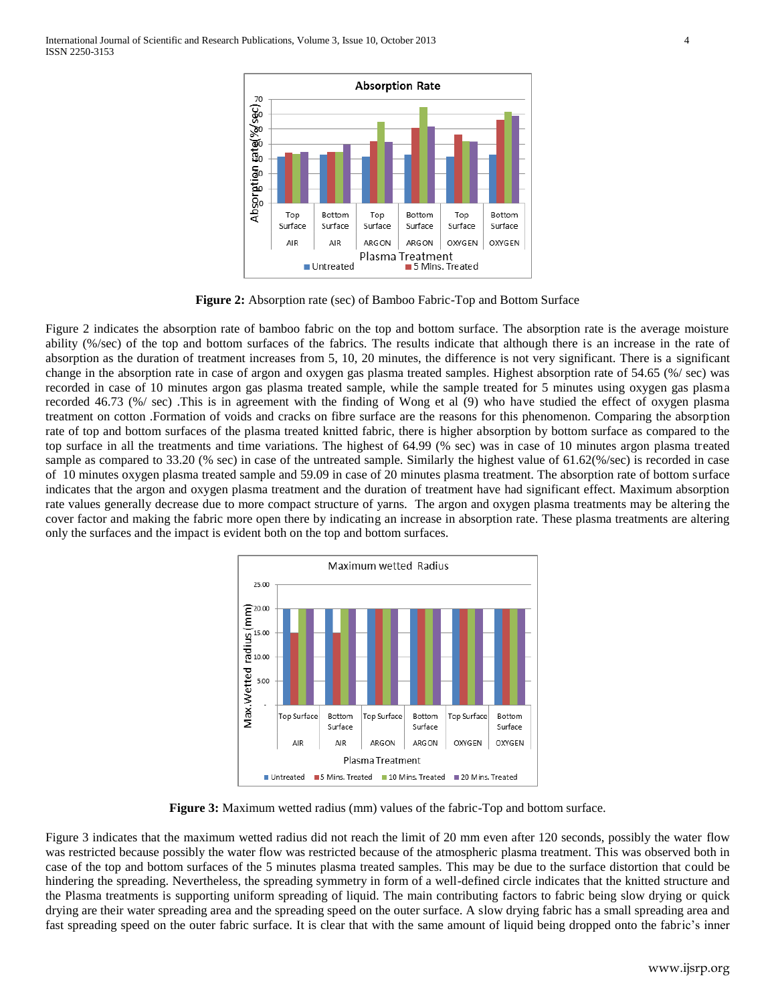

**Figure 2:** Absorption rate (sec) of Bamboo Fabric-Top and Bottom Surface

Figure 2 indicates the absorption rate of bamboo fabric on the top and bottom surface. The absorption rate is the average moisture ability (%/sec) of the top and bottom surfaces of the fabrics. The results indicate that although there is an increase in the rate of absorption as the duration of treatment increases from 5, 10, 20 minutes, the difference is not very significant. There is a significant change in the absorption rate in case of argon and oxygen gas plasma treated samples. Highest absorption rate of 54.65 (%/ sec) was recorded in case of 10 minutes argon gas plasma treated sample, while the sample treated for 5 minutes using oxygen gas plasma recorded 46.73 (%/ sec) .This is in agreement with the finding of Wong et al (9) who have studied the effect of oxygen plasma treatment on cotton .Formation of voids and cracks on fibre surface are the reasons for this phenomenon. Comparing the absorption rate of top and bottom surfaces of the plasma treated knitted fabric, there is higher absorption by bottom surface as compared to the top surface in all the treatments and time variations. The highest of 64.99 (% sec) was in case of 10 minutes argon plasma treated sample as compared to 33.20 (% sec) in case of the untreated sample. Similarly the highest value of 61.62(%/sec) is recorded in case of 10 minutes oxygen plasma treated sample and 59.09 in case of 20 minutes plasma treatment. The absorption rate of bottom surface indicates that the argon and oxygen plasma treatment and the duration of treatment have had significant effect. Maximum absorption rate values generally decrease due to more compact structure of yarns. The argon and oxygen plasma treatments may be altering the cover factor and making the fabric more open there by indicating an increase in absorption rate. These plasma treatments are altering only the surfaces and the impact is evident both on the top and bottom surfaces.



**Figure 3:** Maximum wetted radius (mm) values of the fabric-Top and bottom surface.

Figure 3 indicates that the maximum wetted radius did not reach the limit of 20 mm even after 120 seconds, possibly the water flow was restricted because possibly the water flow was restricted because of the atmospheric plasma treatment. This was observed both in case of the top and bottom surfaces of the 5 minutes plasma treated samples. This may be due to the surface distortion that could be hindering the spreading. Nevertheless, the spreading symmetry in form of a well-defined circle indicates that the knitted structure and the Plasma treatments is supporting uniform spreading of liquid. The main contributing factors to fabric being slow drying or quick drying are their water spreading area and the spreading speed on the outer surface. A slow drying fabric has a small spreading area and fast spreading speed on the outer fabric surface. It is clear that with the same amount of liquid being dropped onto the fabric's inner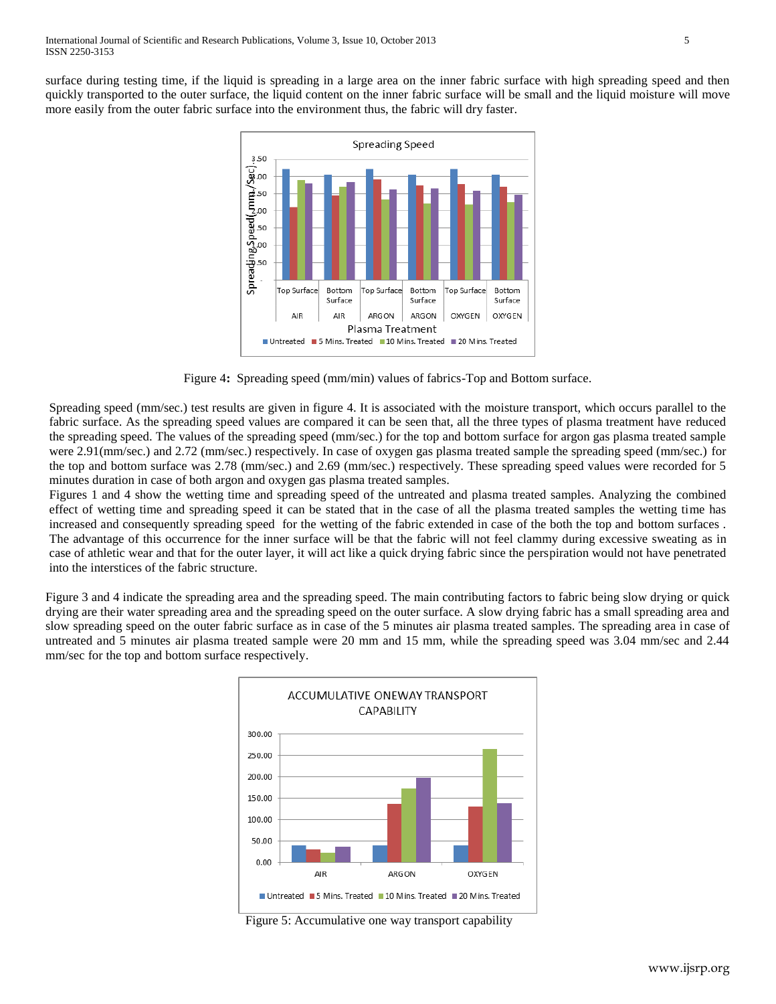surface during testing time, if the liquid is spreading in a large area on the inner fabric surface with high spreading speed and then quickly transported to the outer surface, the liquid content on the inner fabric surface will be small and the liquid moisture will move more easily from the outer fabric surface into the environment thus, the fabric will dry faster.



Figure 4**:** Spreading speed (mm/min) values of fabrics-Top and Bottom surface.

Spreading speed (mm/sec.) test results are given in figure 4. It is associated with the moisture transport, which occurs parallel to the fabric surface. As the spreading speed values are compared it can be seen that, all the three types of plasma treatment have reduced the spreading speed. The values of the spreading speed (mm/sec.) for the top and bottom surface for argon gas plasma treated sample were 2.91(mm/sec.) and 2.72 (mm/sec.) respectively. In case of oxygen gas plasma treated sample the spreading speed (mm/sec.) for the top and bottom surface was 2.78 (mm/sec.) and 2.69 (mm/sec.) respectively. These spreading speed values were recorded for 5 minutes duration in case of both argon and oxygen gas plasma treated samples.

Figures 1 and 4 show the wetting time and spreading speed of the untreated and plasma treated samples. Analyzing the combined effect of wetting time and spreading speed it can be stated that in the case of all the plasma treated samples the wetting time has increased and consequently spreading speed for the wetting of the fabric extended in case of the both the top and bottom surfaces . The advantage of this occurrence for the inner surface will be that the fabric will not feel clammy during excessive sweating as in case of athletic wear and that for the outer layer, it will act like a quick drying fabric since the perspiration would not have penetrated into the interstices of the fabric structure.

Figure 3 and 4 indicate the spreading area and the spreading speed. The main contributing factors to fabric being slow drying or quick drying are their water spreading area and the spreading speed on the outer surface. A slow drying fabric has a small spreading area and slow spreading speed on the outer fabric surface as in case of the 5 minutes air plasma treated samples. The spreading area in case of untreated and 5 minutes air plasma treated sample were 20 mm and 15 mm, while the spreading speed was 3.04 mm/sec and 2.44 mm/sec for the top and bottom surface respectively.



Figure 5: Accumulative one way transport capability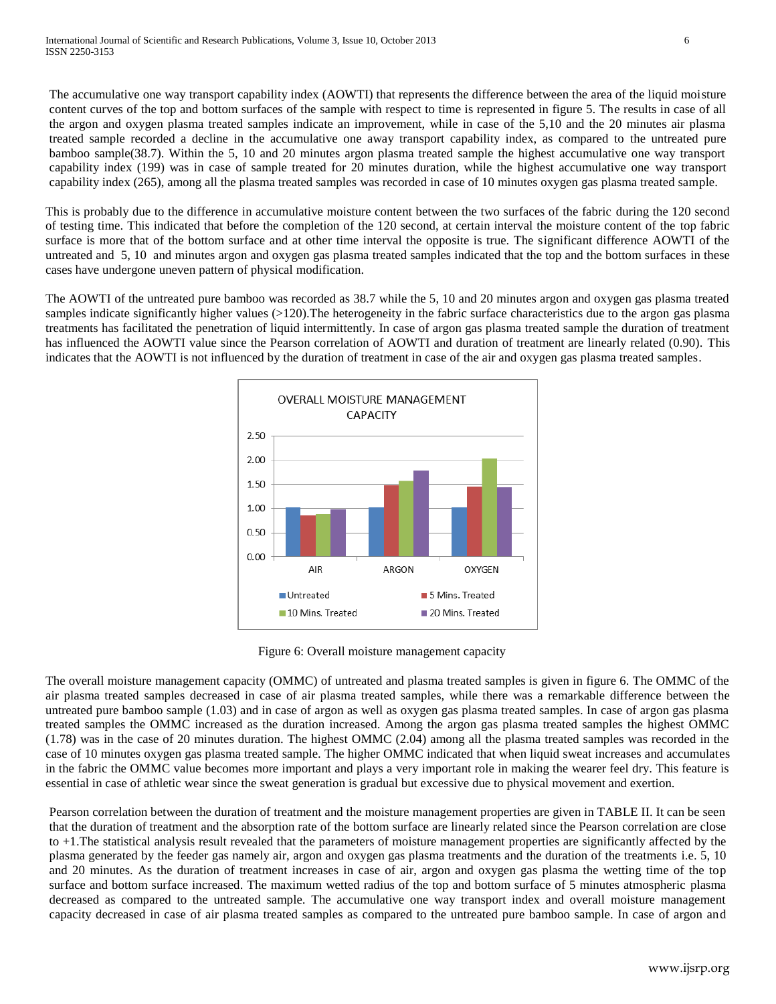The accumulative one way transport capability index (AOWTI) that represents the difference between the area of the liquid moisture content curves of the top and bottom surfaces of the sample with respect to time is represented in figure 5. The results in case of all the argon and oxygen plasma treated samples indicate an improvement, while in case of the 5,10 and the 20 minutes air plasma treated sample recorded a decline in the accumulative one away transport capability index, as compared to the untreated pure bamboo sample(38.7). Within the 5, 10 and 20 minutes argon plasma treated sample the highest accumulative one way transport capability index (199) was in case of sample treated for 20 minutes duration, while the highest accumulative one way transport capability index (265), among all the plasma treated samples was recorded in case of 10 minutes oxygen gas plasma treated sample.

This is probably due to the difference in accumulative moisture content between the two surfaces of the fabric during the 120 second of testing time. This indicated that before the completion of the 120 second, at certain interval the moisture content of the top fabric surface is more that of the bottom surface and at other time interval the opposite is true. The significant difference AOWTI of the untreated and 5, 10 and minutes argon and oxygen gas plasma treated samples indicated that the top and the bottom surfaces in these cases have undergone uneven pattern of physical modification.

The AOWTI of the untreated pure bamboo was recorded as 38.7 while the 5, 10 and 20 minutes argon and oxygen gas plasma treated samples indicate significantly higher values (>120). The heterogeneity in the fabric surface characteristics due to the argon gas plasma treatments has facilitated the penetration of liquid intermittently. In case of argon gas plasma treated sample the duration of treatment has influenced the AOWTI value since the Pearson correlation of AOWTI and duration of treatment are linearly related (0.90). This indicates that the AOWTI is not influenced by the duration of treatment in case of the air and oxygen gas plasma treated samples.



Figure 6: Overall moisture management capacity

The overall moisture management capacity (OMMC) of untreated and plasma treated samples is given in figure 6. The OMMC of the air plasma treated samples decreased in case of air plasma treated samples, while there was a remarkable difference between the untreated pure bamboo sample (1.03) and in case of argon as well as oxygen gas plasma treated samples. In case of argon gas plasma treated samples the OMMC increased as the duration increased. Among the argon gas plasma treated samples the highest OMMC (1.78) was in the case of 20 minutes duration. The highest OMMC (2.04) among all the plasma treated samples was recorded in the case of 10 minutes oxygen gas plasma treated sample. The higher OMMC indicated that when liquid sweat increases and accumulates in the fabric the OMMC value becomes more important and plays a very important role in making the wearer feel dry. This feature is essential in case of athletic wear since the sweat generation is gradual but excessive due to physical movement and exertion.

Pearson correlation between the duration of treatment and the moisture management properties are given in TABLE II. It can be seen that the duration of treatment and the absorption rate of the bottom surface are linearly related since the Pearson correlation are close to +1.The statistical analysis result revealed that the parameters of moisture management properties are significantly affected by the plasma generated by the feeder gas namely air, argon and oxygen gas plasma treatments and the duration of the treatments i.e. 5, 10 and 20 minutes. As the duration of treatment increases in case of air, argon and oxygen gas plasma the wetting time of the top surface and bottom surface increased. The maximum wetted radius of the top and bottom surface of 5 minutes atmospheric plasma decreased as compared to the untreated sample. The accumulative one way transport index and overall moisture management capacity decreased in case of air plasma treated samples as compared to the untreated pure bamboo sample. In case of argon and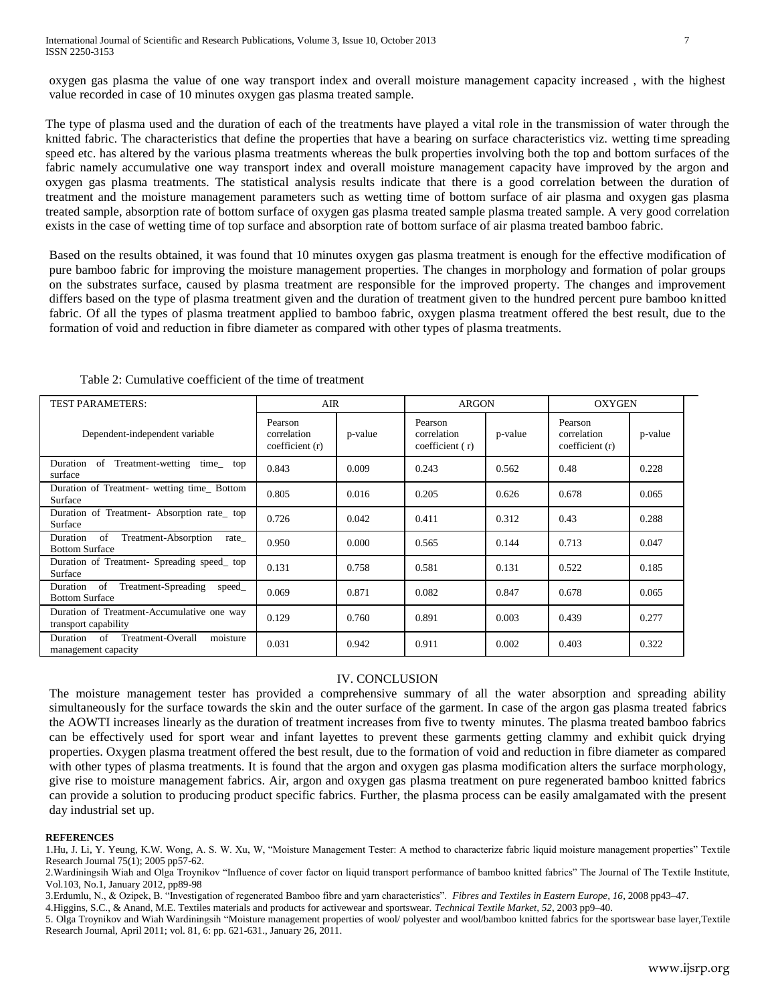oxygen gas plasma the value of one way transport index and overall moisture management capacity increased , with the highest value recorded in case of 10 minutes oxygen gas plasma treated sample.

The type of plasma used and the duration of each of the treatments have played a vital role in the transmission of water through the knitted fabric. The characteristics that define the properties that have a bearing on surface characteristics viz. wetting time spreading speed etc. has altered by the various plasma treatments whereas the bulk properties involving both the top and bottom surfaces of the fabric namely accumulative one way transport index and overall moisture management capacity have improved by the argon and oxygen gas plasma treatments. The statistical analysis results indicate that there is a good correlation between the duration of treatment and the moisture management parameters such as wetting time of bottom surface of air plasma and oxygen gas plasma treated sample, absorption rate of bottom surface of oxygen gas plasma treated sample plasma treated sample. A very good correlation exists in the case of wetting time of top surface and absorption rate of bottom surface of air plasma treated bamboo fabric.

Based on the results obtained, it was found that 10 minutes oxygen gas plasma treatment is enough for the effective modification of pure bamboo fabric for improving the moisture management properties. The changes in morphology and formation of polar groups on the substrates surface, caused by plasma treatment are responsible for the improved property. The changes and improvement differs based on the type of plasma treatment given and the duration of treatment given to the hundred percent pure bamboo knitted fabric. Of all the types of plasma treatment applied to bamboo fabric, oxygen plasma treatment offered the best result, due to the formation of void and reduction in fibre diameter as compared with other types of plasma treatments.

| <b>TEST PARAMETERS:</b>                                                  | <b>AIR</b>                               |         | <b>ARGON</b>                             |         | <b>OXYGEN</b>                             |         |
|--------------------------------------------------------------------------|------------------------------------------|---------|------------------------------------------|---------|-------------------------------------------|---------|
| Dependent-independent variable                                           | Pearson<br>correlation<br>coefficient(r) | p-value | Pearson<br>correlation<br>coefficient(r) | p-value | Pearson<br>correlation<br>coefficient (r) | p-value |
| Duration<br>of<br>Treatment-wetting<br>time top<br>surface               | 0.843                                    | 0.009   | 0.243                                    | 0.562   | 0.48                                      | 0.228   |
| Duration of Treatment- wetting time_Bottom<br>Surface                    | 0.805                                    | 0.016   | 0.205                                    | 0.626   | 0.678                                     | 0.065   |
| Duration of Treatment-Absorption rate top<br>Surface                     | 0.726                                    | 0.042   | 0.411                                    | 0.312   | 0.43                                      | 0.288   |
| of<br>Treatment-Absorption<br>Duration<br>rate<br><b>Bottom Surface</b>  | 0.950                                    | 0.000   | 0.565                                    | 0.144   | 0.713                                     | 0.047   |
| Duration of Treatment- Spreading speed top<br>Surface                    | 0.131                                    | 0.758   | 0.581                                    | 0.131   | 0.522                                     | 0.185   |
| of<br>Treatment-Spreading<br>Duration<br>speed_<br><b>Bottom Surface</b> | 0.069                                    | 0.871   | 0.082                                    | 0.847   | 0.678                                     | 0.065   |
| Duration of Treatment-Accumulative one way<br>transport capability       | 0.129                                    | 0.760   | 0.891                                    | 0.003   | 0.439                                     | 0.277   |
| Treatment-Overall<br>Duration<br>of<br>moisture<br>management capacity   | 0.031                                    | 0.942   | 0.911                                    | 0.002   | 0.403                                     | 0.322   |

Table 2: Cumulative coefficient of the time of treatment

# IV. CONCLUSION

The moisture management tester has provided a comprehensive summary of all the water absorption and spreading ability simultaneously for the surface towards the skin and the outer surface of the garment. In case of the argon gas plasma treated fabrics the AOWTI increases linearly as the duration of treatment increases from five to twenty minutes. The plasma treated bamboo fabrics can be effectively used for sport wear and infant layettes to prevent these garments getting clammy and exhibit quick drying properties. Oxygen plasma treatment offered the best result, due to the formation of void and reduction in fibre diameter as compared with other types of plasma treatments. It is found that the argon and oxygen gas plasma modification alters the surface morphology, give rise to moisture management fabrics. Air, argon and oxygen gas plasma treatment on pure regenerated bamboo knitted fabrics can provide a solution to producing product specific fabrics. Further, the plasma process can be easily amalgamated with the present day industrial set up.

### **REFERENCES**

1.Hu, J. Li, Y. Yeung, K.W. Wong, A. S. W. Xu, W, "Moisture Management Tester: A method to characterize fabric liquid moisture management properties" Textile Research Journal 75(1); 2005 pp57-62.

2.Wardiningsih Wiah and Olga Troynikov "Influence of cover factor on liquid transport performance of bamboo knitted fabrics" The Journal of The Textile Institute, Vol.103, No.1, January 2012, pp89-98

3.Erdumlu, N., & Ozipek, B. "Investigation of regenerated Bamboo fibre and yarn characteristics". *Fibres and Textiles in Eastern Europe, 16*, 2008 pp43–47.

4.Higgins, S.C., & Anand, M.E. Textiles materials and products for activewear and sportswear. *Technical Textile Market, 52*, 2003 pp9–40.

5. Olga Troynikov and Wiah Wardiningsih "Moisture management properties of wool/ polyester and wool/bamboo knitted fabrics for the sportswear base layer,Textile Research Journal, April 2011; vol. 81, 6: pp. 621-631., January 26, 2011.